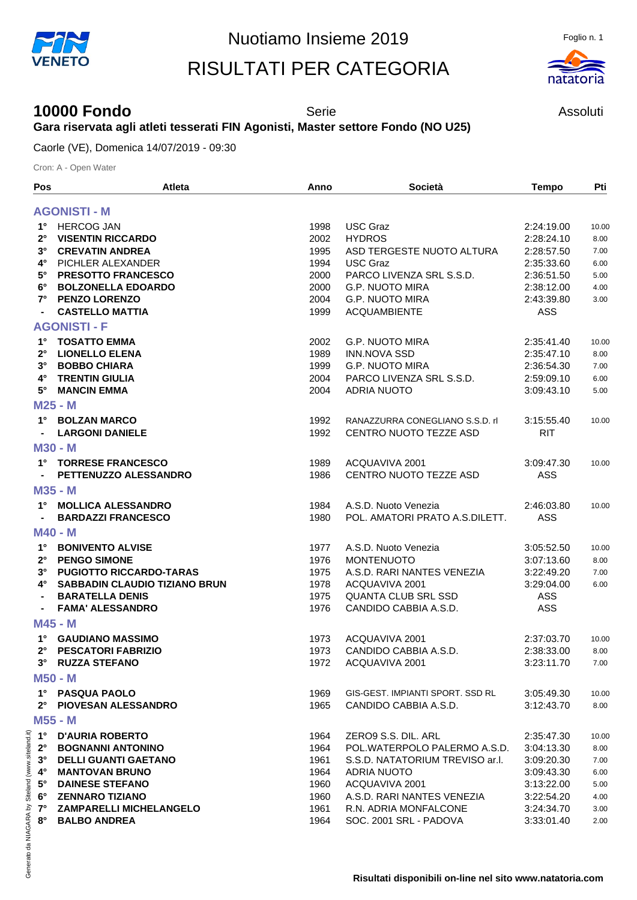## RISULTATI PER CATEGORIA



## **10000 Fondo** Serie Serie Assoluti **Gara riservata agli atleti tesserati FIN Agonisti, Master settore Fondo (NO U25)**

Caorle (VE), Domenica 14/07/2019 - 09:30

Cron: A - Open Water

| Pos         | Atleta                         | Anno | <b>Società</b>                   | <b>Tempo</b> | Pti   |
|-------------|--------------------------------|------|----------------------------------|--------------|-------|
|             | <b>AGONISTI - M</b>            |      |                                  |              |       |
| $1^{\circ}$ | <b>HERCOG JAN</b>              | 1998 | <b>USC Graz</b>                  | 2:24:19.00   | 10.00 |
| $2^{\circ}$ | <b>VISENTIN RICCARDO</b>       | 2002 | <b>HYDROS</b>                    | 2:28:24.10   | 8.00  |
| $3^\circ$   | <b>CREVATIN ANDREA</b>         | 1995 | ASD TERGESTE NUOTO ALTURA        | 2:28:57.50   | 7.00  |
| $4^\circ$   | PICHLER ALEXANDER              | 1994 | <b>USC Graz</b>                  | 2:35:33.60   | 6.00  |
| $5^\circ$   | PRESOTTO FRANCESCO             | 2000 | PARCO LIVENZA SRL S.S.D.         | 2:36:51.50   | 5.00  |
| $6^{\circ}$ | <b>BOLZONELLA EDOARDO</b>      | 2000 | <b>G.P. NUOTO MIRA</b>           | 2:38:12.00   | 4.00  |
| $7^{\circ}$ | <b>PENZO LORENZO</b>           | 2004 | <b>G.P. NUOTO MIRA</b>           | 2:43:39.80   | 3.00  |
|             | <b>CASTELLO MATTIA</b>         | 1999 | <b>ACQUAMBIENTE</b>              | ASS          |       |
|             | <b>AGONISTI - F</b>            |      |                                  |              |       |
| $1^{\circ}$ | <b>TOSATTO EMMA</b>            | 2002 | <b>G.P. NUOTO MIRA</b>           | 2:35:41.40   | 10.00 |
| $2^{\circ}$ | <b>LIONELLO ELENA</b>          | 1989 | <b>INN.NOVA SSD</b>              | 2:35:47.10   | 8.00  |
| $3^\circ$   | <b>BOBBO CHIARA</b>            | 1999 | <b>G.P. NUOTO MIRA</b>           | 2:36:54.30   | 7.00  |
| 4°          | <b>TRENTIN GIULIA</b>          | 2004 | PARCO LIVENZA SRL S.S.D.         | 2:59:09.10   | 6.00  |
| $5^\circ$   | <b>MANCIN EMMA</b>             | 2004 | <b>ADRIA NUOTO</b>               | 3:09:43.10   | 5.00  |
|             | M25 - M                        |      |                                  |              |       |
| $1^{\circ}$ | <b>BOLZAN MARCO</b>            | 1992 | RANAZZURRA CONEGLIANO S.S.D. rl  | 3:15:55.40   | 10.00 |
|             | <b>LARGONI DANIELE</b>         | 1992 | CENTRO NUOTO TEZZE ASD           | <b>RIT</b>   |       |
|             | <b>M30 - M</b>                 |      |                                  |              |       |
| $1^{\circ}$ | <b>TORRESE FRANCESCO</b>       | 1989 | ACQUAVIVA 2001                   | 3:09:47.30   | 10.00 |
|             | PETTENUZZO ALESSANDRO          | 1986 | CENTRO NUOTO TEZZE ASD           | ASS          |       |
|             | M35 - M                        |      |                                  |              |       |
| $1^{\circ}$ | <b>MOLLICA ALESSANDRO</b>      | 1984 | A.S.D. Nuoto Venezia             | 2:46:03.80   | 10.00 |
|             | <b>BARDAZZI FRANCESCO</b>      | 1980 | POL. AMATORI PRATO A.S.DILETT.   | <b>ASS</b>   |       |
|             | <b>M40 - M</b>                 |      |                                  |              |       |
| $1^{\circ}$ | <b>BONIVENTO ALVISE</b>        | 1977 | A.S.D. Nuoto Venezia             | 3:05:52.50   | 10.00 |
| $2^{\circ}$ | <b>PENGO SIMONE</b>            | 1976 | <b>MONTENUOTO</b>                | 3:07:13.60   | 8.00  |
| $3^{\circ}$ | <b>PUGIOTTO RICCARDO-TARAS</b> | 1975 | A.S.D. RARI NANTES VENEZIA       | 3:22:49.20   | 7.00  |
| 4°          | SABBADIN CLAUDIO TIZIANO BRUN  | 1978 | ACQUAVIVA 2001                   | 3:29:04.00   | 6.00  |
|             | <b>BARATELLA DENIS</b>         | 1975 | <b>QUANTA CLUB SRL SSD</b>       | ASS          |       |
|             | <b>FAMA' ALESSANDRO</b>        | 1976 | CANDIDO CABBIA A.S.D.            | ASS          |       |
|             | M45 - M                        |      |                                  |              |       |
| 1°          | <b>GAUDIANO MASSIMO</b>        | 1973 | ACQUAVIVA 2001                   | 2:37:03.70   | 10.00 |
| 2°          | <b>PESCATORI FABRIZIO</b>      | 1973 | CANDIDO CABBIA A.S.D.            | 2:38:33.00   | 8.00  |
| $3^\circ$   | <b>RUZZA STEFANO</b>           | 1972 | ACQUAVIVA 2001                   | 3:23:11.70   | 7.00  |
|             | <b>M50 - M</b>                 |      |                                  |              |       |
|             | 1° PASQUA PAOLO                | 1969 | GIS-GEST, IMPIANTI SPORT, SSD RL | 3:05:49.30   | 10.00 |
| $2^{\circ}$ | <b>PIOVESAN ALESSANDRO</b>     | 1965 | CANDIDO CABBIA A.S.D.            | 3:12:43.70   | 8.00  |
|             | M55 - M                        |      |                                  |              |       |
|             | 1° D'AURIA ROBERTO             | 1964 | ZERO9 S.S. DIL. ARL              | 2:35:47.30   | 10.00 |
| $2^{\circ}$ | <b>BOGNANNI ANTONINO</b>       | 1964 | POL.WATERPOLO PALERMO A.S.D.     | 3:04:13.30   | 8.00  |
| $3^\circ$   | <b>DELLI GUANTI GAETANO</b>    | 1961 | S.S.D. NATATORIUM TREVISO ar.l.  | 3:09:20.30   | 7.00  |
| $4^\circ$   | <b>MANTOVAN BRUNO</b>          | 1964 | <b>ADRIA NUOTO</b>               | 3:09:43.30   | 6.00  |
| 5°          | <b>DAINESE STEFANO</b>         | 1960 | ACQUAVIVA 2001                   | 3:13:22.00   | 5.00  |
| 6°          | <b>ZENNARO TIZIANO</b>         | 1960 | A.S.D. RARI NANTES VENEZIA       | 3:22:54.20   | 4.00  |
| $7^{\circ}$ | <b>ZAMPARELLI MICHELANGELO</b> | 1961 | R.N. ADRIA MONFALCONE            | 3:24:34.70   | 3.00  |
| $8^\circ$   | <b>BALBO ANDREA</b>            | 1964 | SOC. 2001 SRL - PADOVA           | 3:33:01.40   | 2.00  |